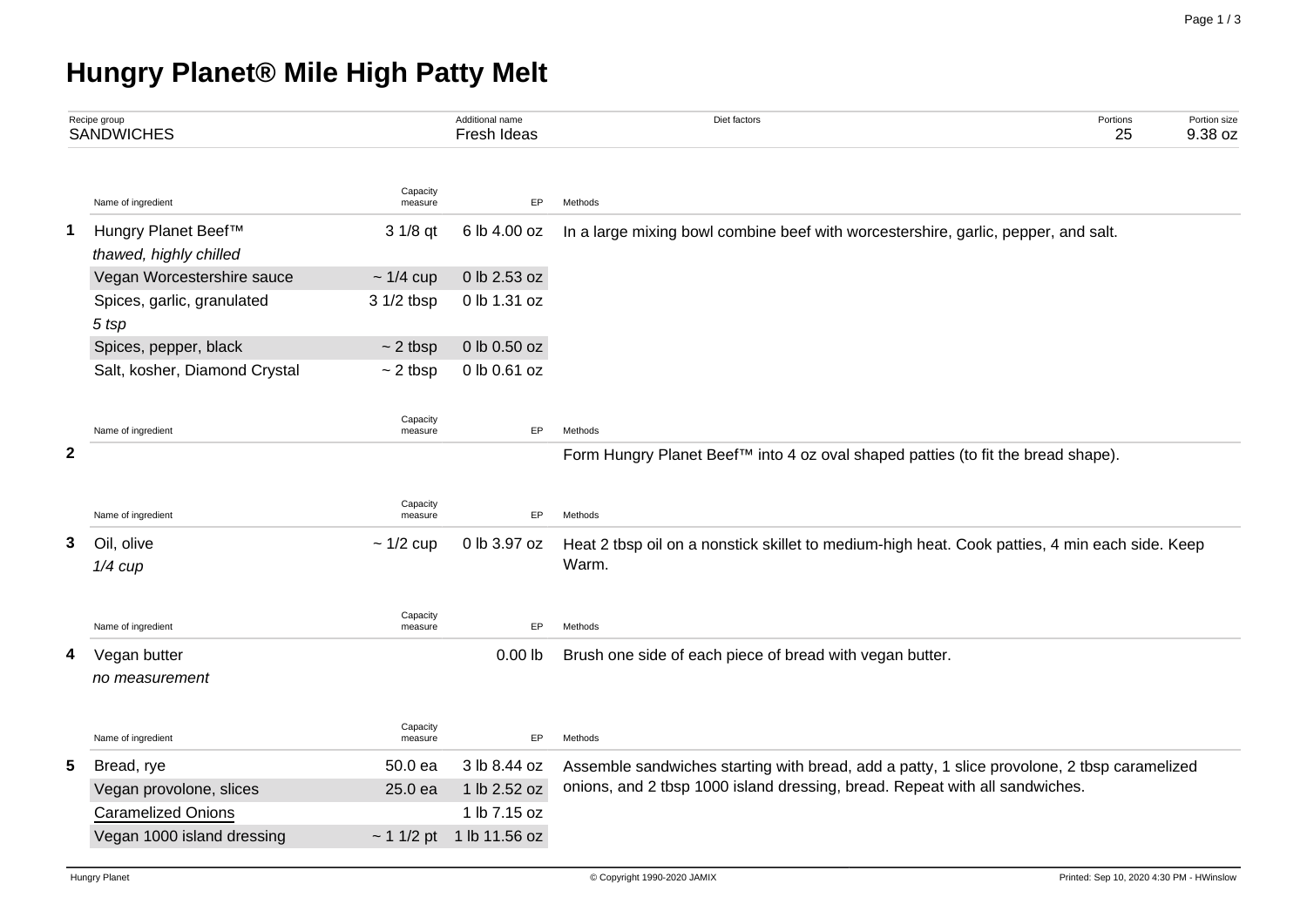## **Hungry Planet® Mile High Patty Melt**

|              | Recipe group<br><b>SANDWICHES</b>             |                     | Additional name<br>Fresh Ideas | Diet factors                                                                                   | Portions<br>25 | Portion size<br>9.38 oz |  |  |  |  |  |
|--------------|-----------------------------------------------|---------------------|--------------------------------|------------------------------------------------------------------------------------------------|----------------|-------------------------|--|--|--|--|--|
|              | Name of ingredient                            | Capacity<br>measure | <b>EP</b>                      | Methods                                                                                        |                |                         |  |  |  |  |  |
| 1            | Hungry Planet Beef™<br>thawed, highly chilled | 3 1/8 qt            | 6 lb 4.00 oz                   | In a large mixing bowl combine beef with worcestershire, garlic, pepper, and salt.             |                |                         |  |  |  |  |  |
|              | Vegan Worcestershire sauce                    | $\sim$ 1/4 cup      | 0 lb 2.53 oz                   |                                                                                                |                |                         |  |  |  |  |  |
|              | Spices, garlic, granulated<br>5 tsp           | 3 1/2 tbsp          | 0 lb 1.31 oz                   |                                                                                                |                |                         |  |  |  |  |  |
|              | Spices, pepper, black                         | $\sim$ 2 tbsp       | 0 lb 0.50 oz                   |                                                                                                |                |                         |  |  |  |  |  |
|              | Salt, kosher, Diamond Crystal                 | $\sim$ 2 tbsp       | 0 lb 0.61 oz                   |                                                                                                |                |                         |  |  |  |  |  |
|              | Name of ingredient                            | Capacity<br>measure | EP                             | Methods                                                                                        |                |                         |  |  |  |  |  |
| $\mathbf{2}$ |                                               |                     |                                | Form Hungry Planet Beef™ into 4 oz oval shaped patties (to fit the bread shape).               |                |                         |  |  |  |  |  |
|              | Name of ingredient                            | Capacity<br>measure | EP                             | Methods                                                                                        |                |                         |  |  |  |  |  |
| 3            | Oil, olive                                    | $\sim$ 1/2 cup      | 0 lb 3.97 oz                   | Heat 2 tbsp oil on a nonstick skillet to medium-high heat. Cook patties, 4 min each side. Keep |                |                         |  |  |  |  |  |
|              | $1/4$ cup                                     |                     |                                | Warm.                                                                                          |                |                         |  |  |  |  |  |
|              | Name of ingredient                            | Capacity<br>measure | EP                             | Methods                                                                                        |                |                         |  |  |  |  |  |
| 4            | Vegan butter                                  |                     | $0.00$ lb                      | Brush one side of each piece of bread with vegan butter.                                       |                |                         |  |  |  |  |  |
|              | no measurement                                |                     |                                |                                                                                                |                |                         |  |  |  |  |  |
|              | Name of ingredient                            | Capacity<br>measure | EP                             | Methods                                                                                        |                |                         |  |  |  |  |  |
| 5.           | Bread, rye                                    | 50.0 ea             | 3 lb 8.44 oz                   | Assemble sandwiches starting with bread, add a patty, 1 slice provolone, 2 tbsp caramelized    |                |                         |  |  |  |  |  |
|              | Vegan provolone, slices                       | 25.0 ea             | 1 lb 2.52 oz                   | onions, and 2 tbsp 1000 island dressing, bread. Repeat with all sandwiches.                    |                |                         |  |  |  |  |  |
|              | <b>Caramelized Onions</b>                     |                     | 1 lb 7.15 oz                   |                                                                                                |                |                         |  |  |  |  |  |
|              | Vegan 1000 island dressing                    |                     | $\sim$ 1 1/2 pt 1 lb 11.56 oz  |                                                                                                |                |                         |  |  |  |  |  |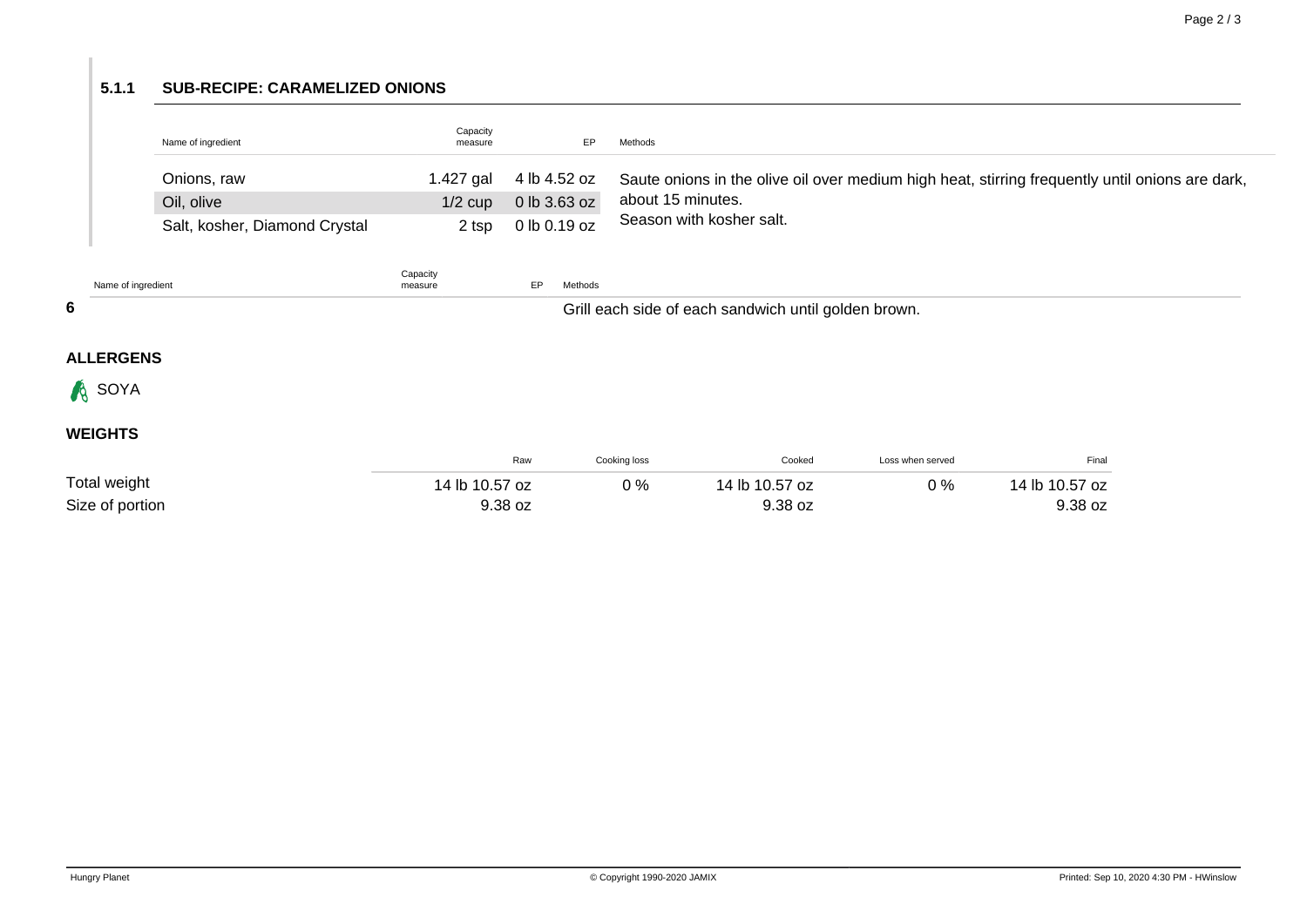## **5.1.1 SUB-RECIPE: CARAMELIZED ONIONS**

| Name of ingredient            | Capacity<br>measure |              | Methods                                                                                                      |
|-------------------------------|---------------------|--------------|--------------------------------------------------------------------------------------------------------------|
| Onions, raw                   | 1.427 gal           |              | 4 lb 4.52 oz Saute onions in the olive oil over medium high heat, stirring frequently until onions are dark, |
| Oil, olive                    | $1/2$ cup           | 0 lb 3.63 oz | about 15 minutes.                                                                                            |
| Salt, kosher, Diamond Crystal | 2 tsp               | 0 lb 0.19 oz | Season with kosher salt.                                                                                     |

|   | Name of ingredient | Capacity<br>measure | EP | Methods                                              |                |                  |                |  |
|---|--------------------|---------------------|----|------------------------------------------------------|----------------|------------------|----------------|--|
| 6 |                    |                     |    | Grill each side of each sandwich until golden brown. |                |                  |                |  |
|   | <b>ALLERGENS</b>   |                     |    |                                                      |                |                  |                |  |
|   | <b>A</b> SOYA      |                     |    |                                                      |                |                  |                |  |
|   | <b>WEIGHTS</b>     |                     |    |                                                      |                |                  |                |  |
|   |                    | Raw                 |    | Cooking loss                                         | Cooked         | Loss when served | Final          |  |
|   | Total weight       | 14 lb 10.57 oz      |    | $0\%$                                                | 14 lb 10.57 oz | $0\%$            | 14 lb 10.57 oz |  |
|   | Size of portion    | 9.38 oz             |    |                                                      | 9.38 oz        |                  | 9.38 oz        |  |